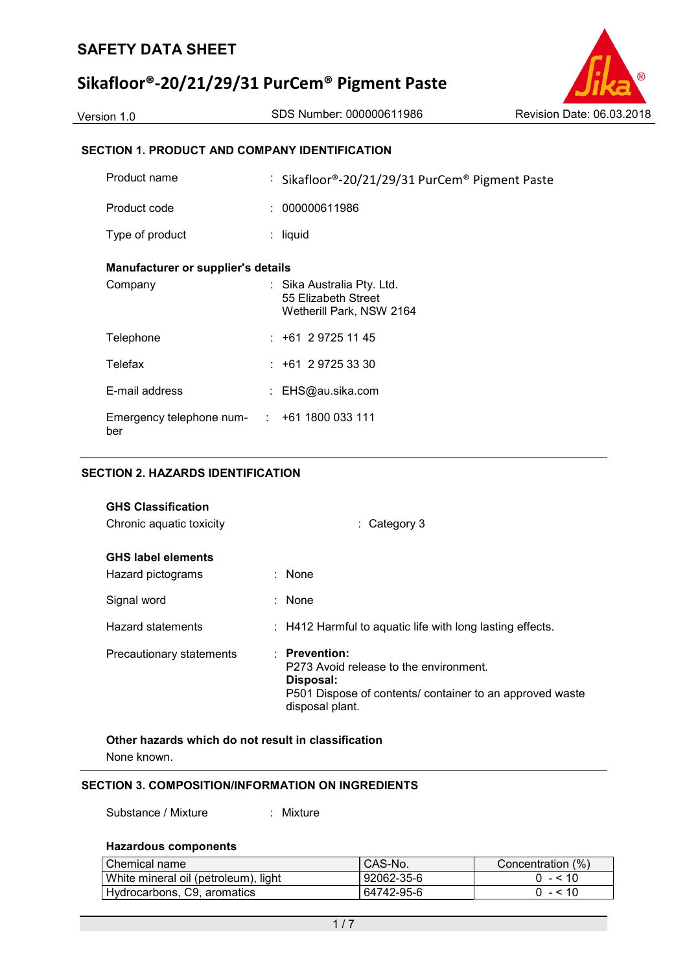# **Sikafloor®-20/21/29/31 PurCem® Pigment Paste**

Version 1.0 SDS Number: 000000611986 Revision Date: 06.03.2018

### **SECTION 1. PRODUCT AND COMPANY IDENTIFICATION**

| : 000000611986<br>Product code<br>Type of product<br>: liquid<br><b>Manufacturer or supplier's details</b><br>Company<br>: Sika Australia Pty. Ltd.<br>55 Elizabeth Street<br>Wetherill Park, NSW 2164<br>$: +61297251145$<br>Telephone<br>Telefax<br>$: +61297253330$<br>E-mail address<br>: EHS@au.sika.com<br>Emergency telephone num- : +61 1800 033 111 | Product name | : Sikafloor®-20/21/29/31 PurCem® Pigment Paste |
|--------------------------------------------------------------------------------------------------------------------------------------------------------------------------------------------------------------------------------------------------------------------------------------------------------------------------------------------------------------|--------------|------------------------------------------------|
|                                                                                                                                                                                                                                                                                                                                                              |              |                                                |
|                                                                                                                                                                                                                                                                                                                                                              |              |                                                |
|                                                                                                                                                                                                                                                                                                                                                              |              |                                                |
|                                                                                                                                                                                                                                                                                                                                                              |              |                                                |
|                                                                                                                                                                                                                                                                                                                                                              |              |                                                |
|                                                                                                                                                                                                                                                                                                                                                              |              |                                                |
|                                                                                                                                                                                                                                                                                                                                                              |              |                                                |
|                                                                                                                                                                                                                                                                                                                                                              | ber          |                                                |

#### **SECTION 2. HAZARDS IDENTIFICATION**

| <b>GHS Classification</b><br>Chronic aquatic toxicity | $\therefore$ Category 3                                                                                                                                        |
|-------------------------------------------------------|----------------------------------------------------------------------------------------------------------------------------------------------------------------|
| <b>GHS label elements</b><br>Hazard pictograms        | $:$ None                                                                                                                                                       |
| Signal word                                           | : None                                                                                                                                                         |
| <b>Hazard statements</b>                              | : H412 Harmful to aquatic life with long lasting effects.                                                                                                      |
| Precautionary statements                              | $\therefore$ Prevention:<br>P273 Avoid release to the environment.<br>Disposal:<br>P501 Dispose of contents/ container to an approved waste<br>disposal plant. |

**Other hazards which do not result in classification** None known.

#### **SECTION 3. COMPOSITION/INFORMATION ON INGREDIENTS**

Substance / Mixture : Mixture

#### **Hazardous components**

| Chemical name                        | CAS-No.          | Concentration (%) |
|--------------------------------------|------------------|-------------------|
| White mineral oil (petroleum), light | $92062 - 35 - 6$ | $0 - 510$         |
| Hydrocarbons, C9, aromatics          | 64742-95-6       | $0 - 510$         |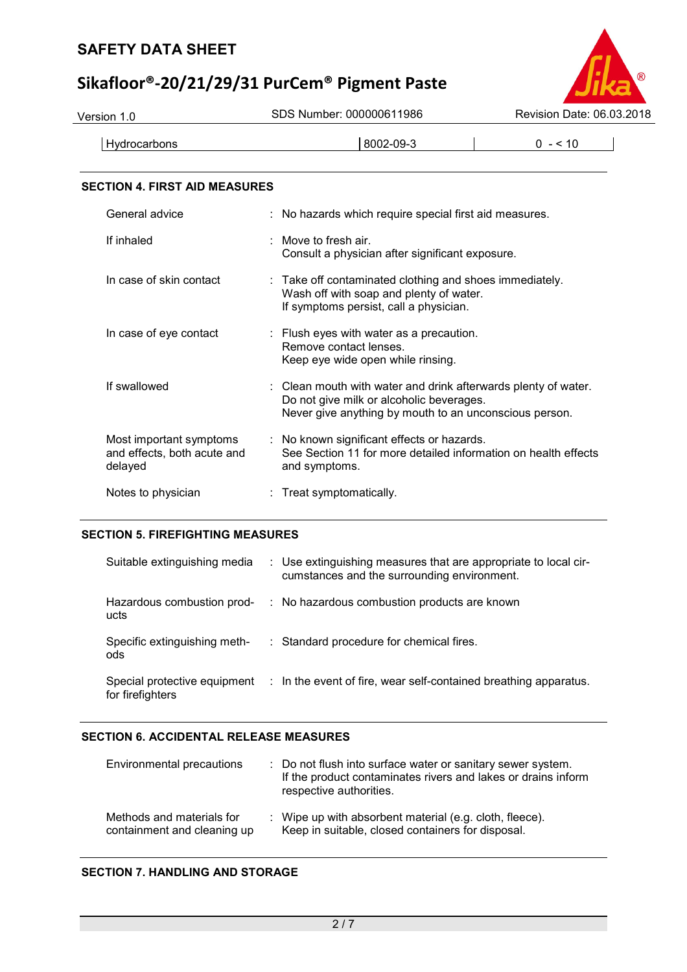# **Sikafloor®-20/21/29/31 PurCem® Pigment Paste**



#### **SECTION 4. FIRST AID MEASURES**

| General advice                                                    | : No hazards which require special first aid measures.                                                                                                                          |
|-------------------------------------------------------------------|---------------------------------------------------------------------------------------------------------------------------------------------------------------------------------|
| If inhaled                                                        | : Move to fresh air.<br>Consult a physician after significant exposure.                                                                                                         |
| In case of skin contact                                           | $\therefore$ Take off contaminated clothing and shoes immediately.<br>Wash off with soap and plenty of water.<br>If symptoms persist, call a physician.                         |
| In case of eye contact                                            | : Flush eyes with water as a precaution.<br>Remove contact lenses.<br>Keep eye wide open while rinsing.                                                                         |
| If swallowed                                                      | $\therefore$ Clean mouth with water and drink afterwards plenty of water.<br>Do not give milk or alcoholic beverages.<br>Never give anything by mouth to an unconscious person. |
| Most important symptoms<br>and effects, both acute and<br>delayed | : No known significant effects or hazards.<br>See Section 11 for more detailed information on health effects<br>and symptoms.                                                   |
| Notes to physician                                                | : Treat symptomatically.                                                                                                                                                        |

#### **SECTION 5. FIREFIGHTING MEASURES**

| Suitable extinguishing media        | : Use extinguishing measures that are appropriate to local cir-<br>cumstances and the surrounding environment. |
|-------------------------------------|----------------------------------------------------------------------------------------------------------------|
| Hazardous combustion prod-<br>ucts  | : No hazardous combustion products are known                                                                   |
| Specific extinguishing meth-<br>ods | : Standard procedure for chemical fires.                                                                       |
| for firefighters                    | Special protective equipment : In the event of fire, wear self-contained breathing apparatus.                  |

#### **SECTION 6. ACCIDENTAL RELEASE MEASURES**

| Environmental precautions                                | : Do not flush into surface water or sanitary sewer system.<br>If the product contaminates rivers and lakes or drains inform<br>respective authorities. |
|----------------------------------------------------------|---------------------------------------------------------------------------------------------------------------------------------------------------------|
| Methods and materials for<br>containment and cleaning up | : Wipe up with absorbent material (e.g. cloth, fleece).<br>Keep in suitable, closed containers for disposal.                                            |

#### **SECTION 7. HANDLING AND STORAGE**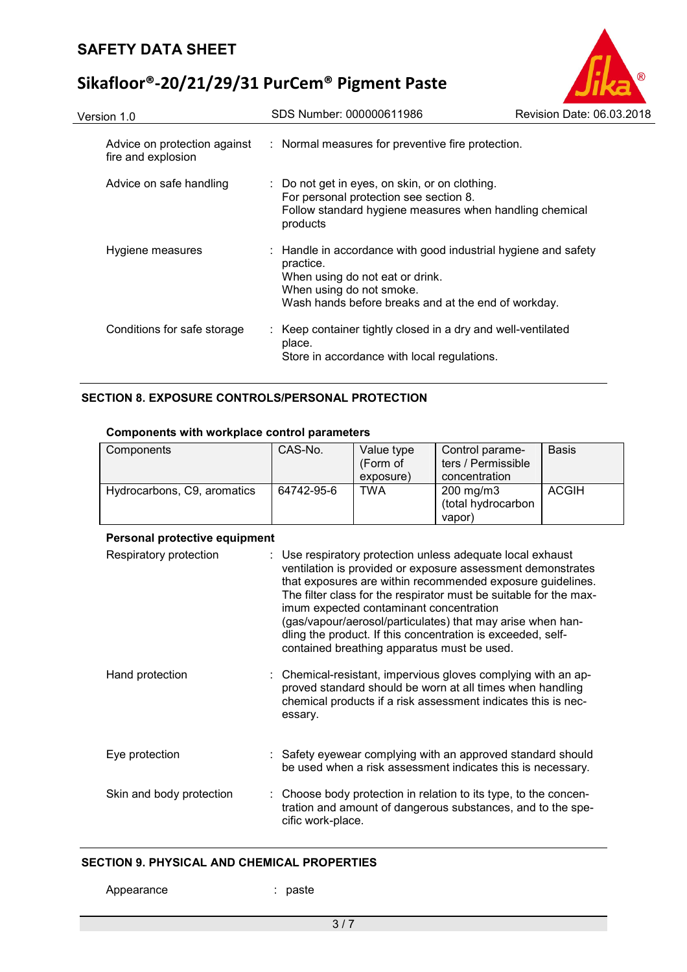# **Sikafloor®-20/21/29/31 PurCem® Pigment Paste**

| Version 1.0                                        | SDS Number: 000000611986                                                                                                                                                                          | Revision Date: 06.03.2018 |
|----------------------------------------------------|---------------------------------------------------------------------------------------------------------------------------------------------------------------------------------------------------|---------------------------|
| Advice on protection against<br>fire and explosion | : Normal measures for preventive fire protection.                                                                                                                                                 |                           |
| Advice on safe handling                            | : Do not get in eyes, on skin, or on clothing.<br>For personal protection see section 8.<br>Follow standard hygiene measures when handling chemical<br>products                                   |                           |
| Hygiene measures                                   | : Handle in accordance with good industrial hygiene and safety<br>practice.<br>When using do not eat or drink.<br>When using do not smoke.<br>Wash hands before breaks and at the end of workday. |                           |
| Conditions for safe storage                        | Keep container tightly closed in a dry and well-ventilated<br>place.<br>Store in accordance with local regulations.                                                                               |                           |

### **SECTION 8. EXPOSURE CONTROLS/PERSONAL PROTECTION**

#### **Components with workplace control parameters**

| Components                  | CAS-No.    | Value type | Control parame-      | <b>Basis</b> |
|-----------------------------|------------|------------|----------------------|--------------|
|                             |            | (Form of   | ters / Permissible   |              |
|                             |            | exposure)  | concentration        |              |
| Hydrocarbons, C9, aromatics | 64742-95-6 | TWA        | $200 \text{ mg/m}$ 3 | <b>ACGIH</b> |
|                             |            |            | (total hydrocarbon   |              |
|                             |            |            | vapor)               |              |

#### **Personal protective equipment**

| Respiratory protection   | : Use respiratory protection unless adequate local exhaust<br>ventilation is provided or exposure assessment demonstrates<br>that exposures are within recommended exposure guidelines.<br>The filter class for the respirator must be suitable for the max-<br>imum expected contaminant concentration<br>(gas/vapour/aerosol/particulates) that may arise when han-<br>dling the product. If this concentration is exceeded, self-<br>contained breathing apparatus must be used. |
|--------------------------|-------------------------------------------------------------------------------------------------------------------------------------------------------------------------------------------------------------------------------------------------------------------------------------------------------------------------------------------------------------------------------------------------------------------------------------------------------------------------------------|
| Hand protection          | : Chemical-resistant, impervious gloves complying with an ap-<br>proved standard should be worn at all times when handling<br>chemical products if a risk assessment indicates this is nec-<br>essary.                                                                                                                                                                                                                                                                              |
| Eye protection           | : Safety eyewear complying with an approved standard should<br>be used when a risk assessment indicates this is necessary.                                                                                                                                                                                                                                                                                                                                                          |
| Skin and body protection | : Choose body protection in relation to its type, to the concen-<br>tration and amount of dangerous substances, and to the spe-<br>cific work-place.                                                                                                                                                                                                                                                                                                                                |

#### **SECTION 9. PHYSICAL AND CHEMICAL PROPERTIES**

: paste

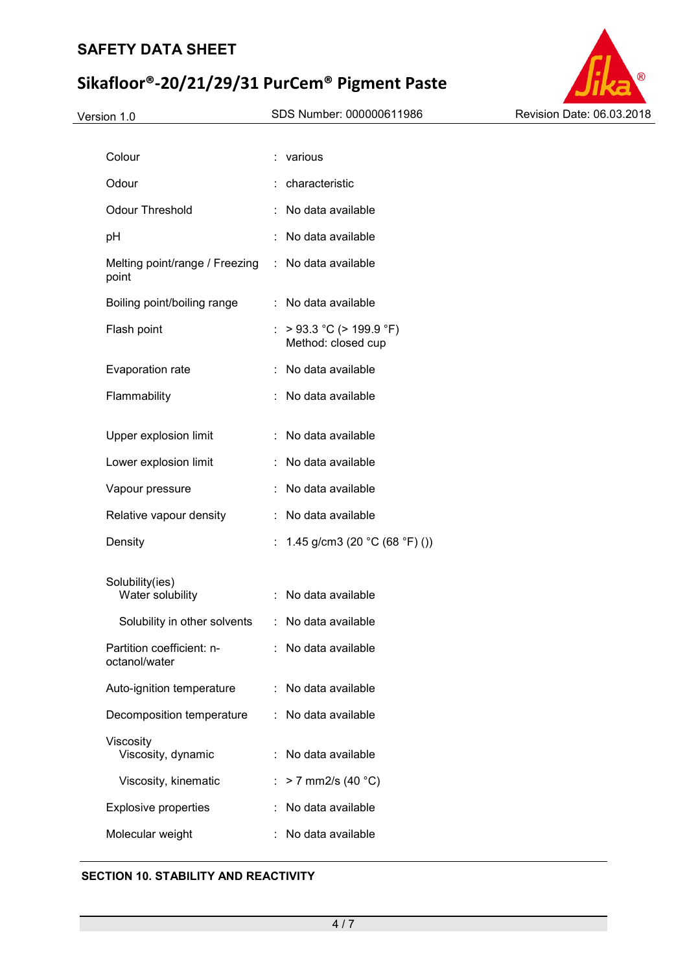# **Sikafloor®-20/21/29/31 PurCem® Pigment Paste**



| Colour                                     |    | various                                           |
|--------------------------------------------|----|---------------------------------------------------|
| Odour                                      |    | characteristic                                    |
| <b>Odour Threshold</b>                     |    | No data available                                 |
| pH                                         |    | No data available                                 |
| Melting point/range / Freezing<br>point    |    | : No data available                               |
| Boiling point/boiling range                | ÷  | No data available                                 |
| Flash point                                | t. | $>$ 93.3 °C ( $>$ 199.9 °F)<br>Method: closed cup |
| Evaporation rate                           |    | : No data available                               |
| Flammability                               |    | No data available                                 |
|                                            |    |                                                   |
| Upper explosion limit                      | ÷. | No data available                                 |
| Lower explosion limit                      |    | No data available                                 |
| Vapour pressure                            |    | No data available                                 |
| Relative vapour density                    |    | No data available                                 |
| Density                                    | t. | 1.45 g/cm3 (20 $^{\circ}$ C (68 $^{\circ}$ F) ()) |
| Solubility(ies)<br>Water solubility        | ÷. | No data available                                 |
| Solubility in other solvents               |    | : No data available                               |
| Partition coefficient: n-<br>octanol/water |    | : No data available                               |
| Auto-ignition temperature                  |    | : No data available                               |
| Decomposition temperature                  | t. | No data available                                 |
| Viscosity<br>Viscosity, dynamic            |    | No data available                                 |
| Viscosity, kinematic                       |    | $> 7$ mm2/s (40 °C)                               |
| <b>Explosive properties</b>                |    | No data available                                 |
| Molecular weight                           |    | No data available                                 |

#### **SECTION 10. STABILITY AND REACTIVITY**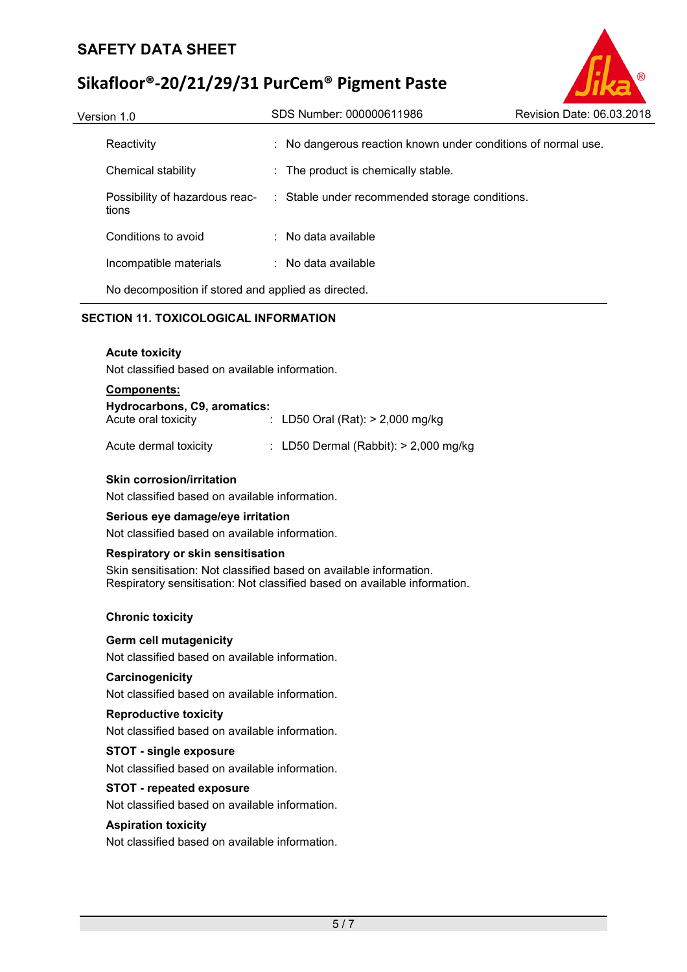# **Sikafloor®-20/21/29/31 PurCem® Pigment Paste**

| Version 1.0                                         | SDS Number: 000000611986                                      | Revision Date: 06.03.2018 |
|-----------------------------------------------------|---------------------------------------------------------------|---------------------------|
| Reactivity                                          | : No dangerous reaction known under conditions of normal use. |                           |
| Chemical stability                                  | : The product is chemically stable.                           |                           |
| Possibility of hazardous reac-<br>tions             | : Stable under recommended storage conditions.                |                           |
| Conditions to avoid                                 | $\therefore$ No data available                                |                           |
| Incompatible materials                              | : No data available                                           |                           |
| No decomposition if stored and applied as directed. |                                                               |                           |

#### **SECTION 11. TOXICOLOGICAL INFORMATION**

#### **Acute toxicity**

Not classified based on available information.

#### **Components:**

| Hydrocarbons, C9, aromatics: |  |                                    |  |  |  |
|------------------------------|--|------------------------------------|--|--|--|
| Acute oral toxicity          |  | : LD50 Oral (Rat): $> 2,000$ mg/kg |  |  |  |

| Acute dermal toxicity | : LD50 Dermal (Rabbit): > 2,000 mg/kg |  |  |
|-----------------------|---------------------------------------|--|--|
|                       |                                       |  |  |

#### **Skin corrosion/irritation**

Not classified based on available information.

#### **Serious eye damage/eye irritation**

Not classified based on available information.

#### **Respiratory or skin sensitisation**

Skin sensitisation: Not classified based on available information. Respiratory sensitisation: Not classified based on available information.

#### **Chronic toxicity**

#### **Germ cell mutagenicity**

Not classified based on available information.

#### **Carcinogenicity**

Not classified based on available information.

#### **Reproductive toxicity**

Not classified based on available information.

#### **STOT - single exposure**

Not classified based on available information.

#### **STOT - repeated exposure**

Not classified based on available information.

#### **Aspiration toxicity**

Not classified based on available information.

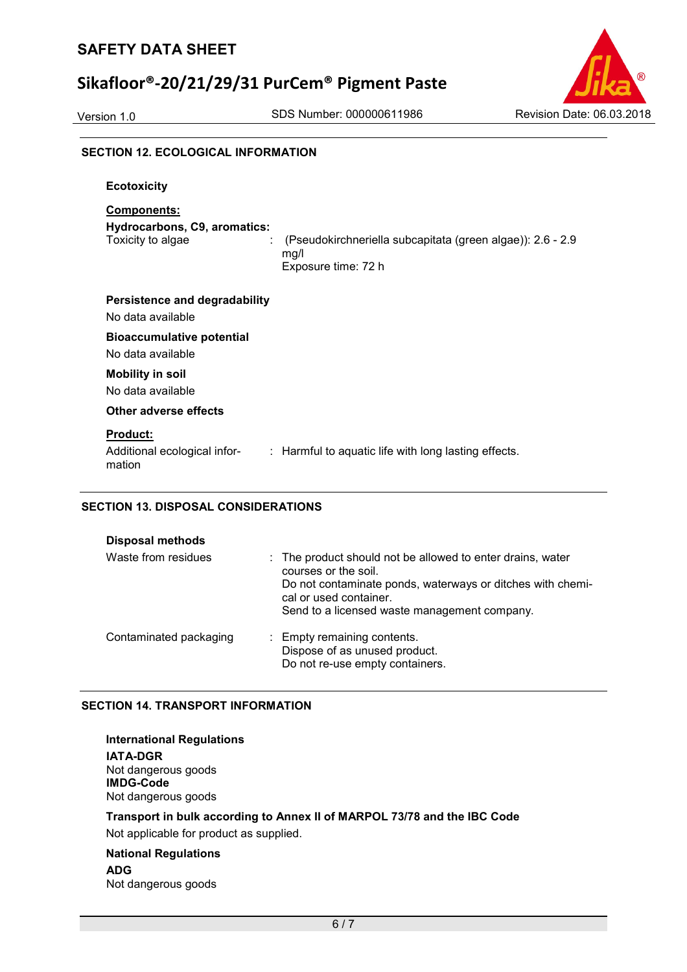# **Sikafloor®-20/21/29/31 PurCem® Pigment Paste**



#### **SECTION 12. ECOLOGICAL INFORMATION**

| <b>Ecotoxicity</b>                                                           |                                                                                           |
|------------------------------------------------------------------------------|-------------------------------------------------------------------------------------------|
| <b>Components:</b><br>Hydrocarbons, C9, aromatics:<br>Toxicity to algae<br>÷ | (Pseudokirchneriella subcapitata (green algae)): 2.6 - 2.9<br>mg/l<br>Exposure time: 72 h |
| <b>Persistence and degradability</b><br>No data available                    |                                                                                           |
| <b>Bioaccumulative potential</b><br>No data available                        |                                                                                           |
| <b>Mobility in soil</b><br>No data available                                 |                                                                                           |
| Other adverse effects                                                        |                                                                                           |
| <b>Product:</b><br>Additional ecological infor-<br>mation                    | : Harmful to aquatic life with long lasting effects.                                      |

#### **SECTION 13. DISPOSAL CONSIDERATIONS**

| Waste from residues    | : The product should not be allowed to enter drains, water<br>courses or the soil.<br>Do not contaminate ponds, waterways or ditches with chemi-<br>cal or used container.<br>Send to a licensed waste management company. |
|------------------------|----------------------------------------------------------------------------------------------------------------------------------------------------------------------------------------------------------------------------|
| Contaminated packaging | : Empty remaining contents.<br>Dispose of as unused product.<br>Do not re-use empty containers.                                                                                                                            |

#### **SECTION 14. TRANSPORT INFORMATION**

| <b>International Regulations</b>                                         |
|--------------------------------------------------------------------------|
| <b>IATA-DGR</b>                                                          |
| Not dangerous goods<br><b>IMDG-Code</b>                                  |
| Not dangerous goods                                                      |
| Transport in bulk according to Annex II of MARPOL 73/78 and the IBC Code |
| Not applicable for product as supplied.                                  |
| <b>National Regulations</b>                                              |

# **ADG**

Not dangerous goods